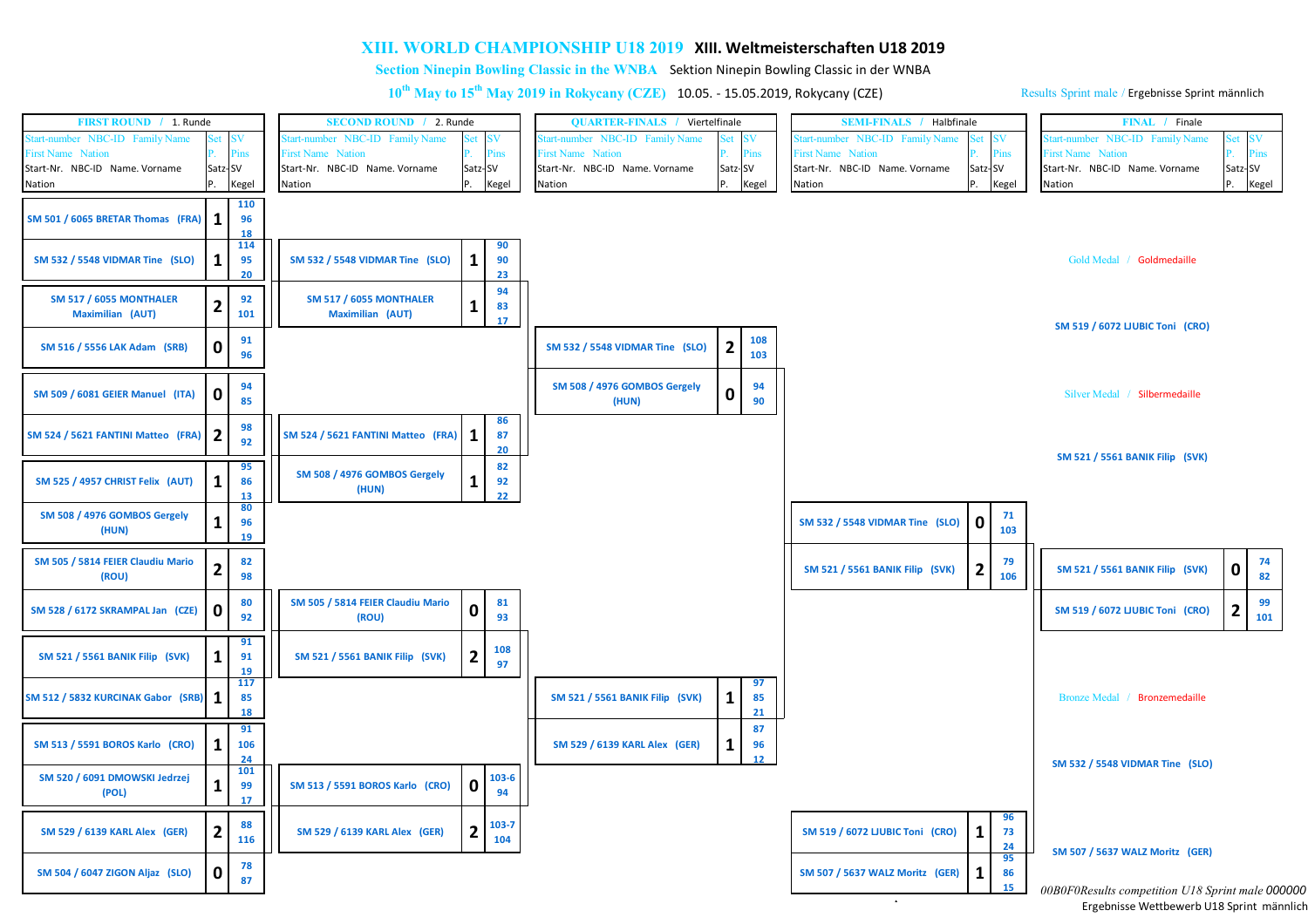## **XIII. WORLD CHAMPIONSHIP U18 2019 XIII. Weltmeisterschaften U18 2019**

**Section Ninepin Bowling Classic in the WNBA** Sektion Ninepin Bowling Classic in der WNBA

**10th May to 15th May 2019 in Rokycany (CZE)** 10.05. - 15.05.2019, Rokycany (CZE)

Results Sprint male / Ergebnisse Sprint männlich